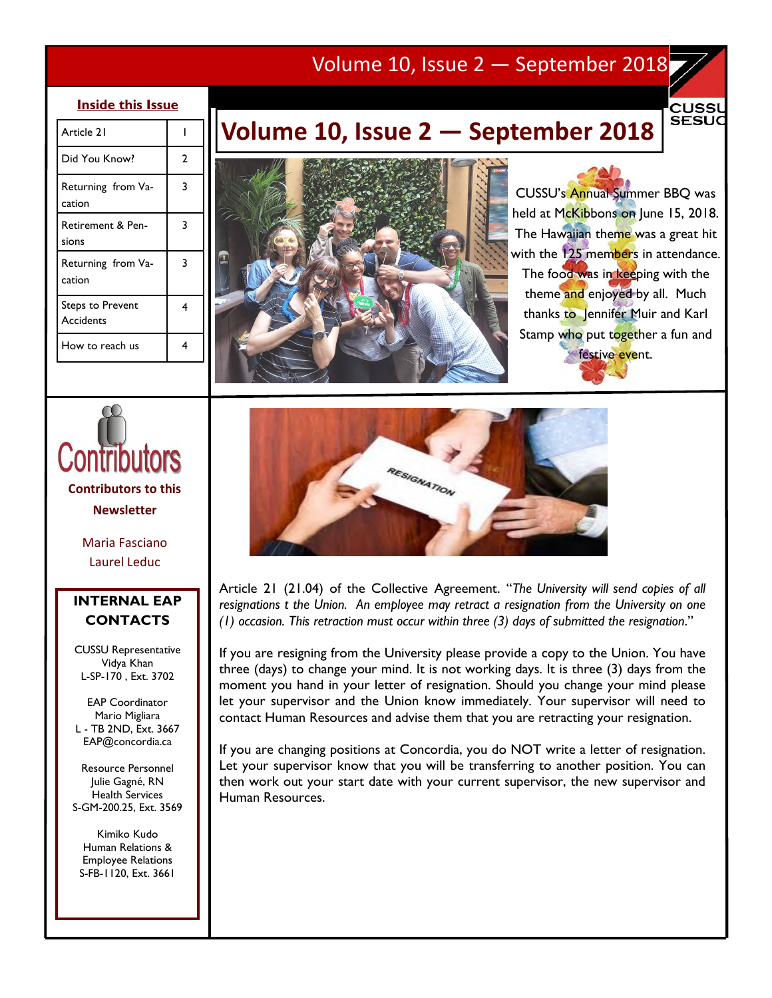## Volume 10, Issue 2 — September 2018

### **Inside this Issue**

| Article 21                            |   |
|---------------------------------------|---|
| Did You Know?                         | 2 |
| Returning from Va-<br>cation          | 3 |
| <b>Retirement &amp; Pen-</b><br>sions | 3 |
| Returning from Va-<br>cation          | 3 |
| <b>Steps to Prevent</b><br>Accidents  | 4 |
| How to reach us                       |   |

# **Volume 10, Issue 2 — September 2018**



CUSSU's Annual Summer BBQ was held at McKibbons on June 15, 2018. The Hawaiian theme was a great hit with the 125 members in attendance. The food was in keeping with the theme and enjoyed by all. Much thanks to Jennifer Muir and Karl Stamp who put together a fun and festive event.

CUSSl **SESUC** 



Maria Fasciano Laurel Leduc

## **INTERNAL EAP CONTACTS**

CUSSU Representative Vidya Khan L-SP-170 , Ext. 3702

EAP Coordinator Mario Migliara L - TB 2ND, Ext. 3667 EAP@concordia.ca

Resource Personnel Julie Gagné, RN Health Services S-GM-200.25, Ext. 3569

Kimiko Kudo Human Relations & Employee Relations S-FB-1120, Ext. 3661



Article 21 (21.04) of the Collective Agreement. "*The University will send copies of all resignations t the Union. An employee may retract a resignation from the University on one (1) occasion. This retraction must occur within three (3) days of submitted the resignation*."

If you are resigning from the University please provide a copy to the Union. You have three (days) to change your mind. It is not working days. It is three (3) days from the moment you hand in your letter of resignation. Should you change your mind please let your supervisor and the Union know immediately. Your supervisor will need to contact Human Resources and advise them that you are retracting your resignation.

If you are changing positions at Concordia, you do NOT write a letter of resignation. Let your supervisor know that you will be transferring to another position. You can then work out your start date with your current supervisor, the new supervisor and Human Resources.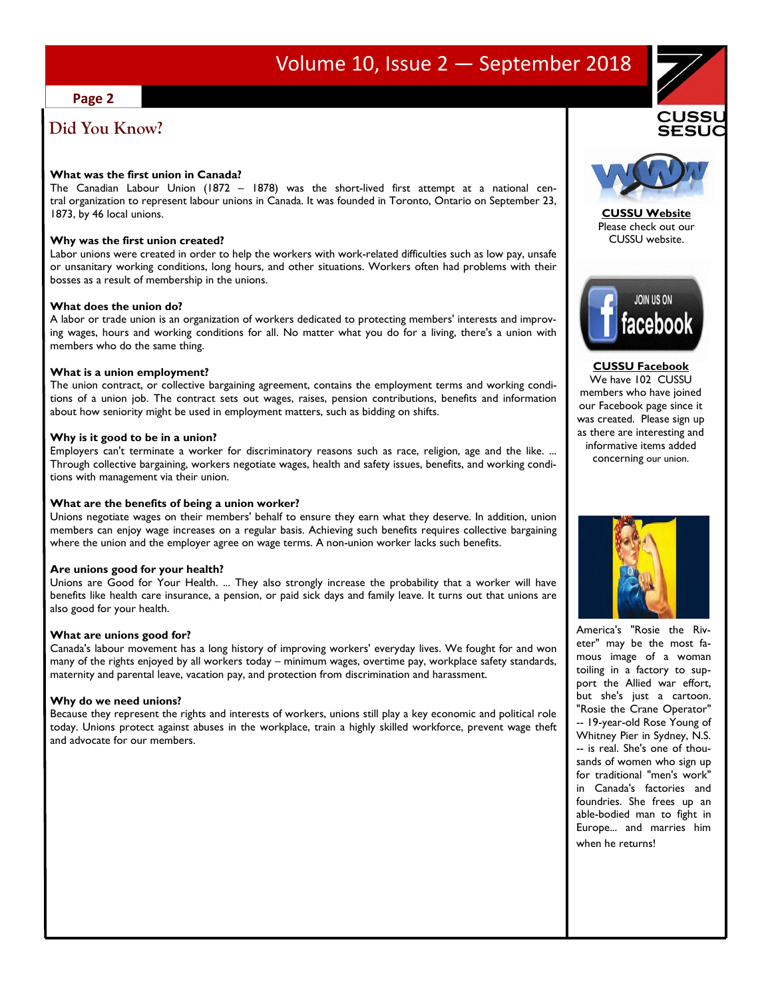## Volume 10, Issue 2 — September 2018

#### **Page 2**

## **Did You Know?**

#### **What was the first union in Canada?**

The Canadian Labour Union (1872 – 1878) was the short-lived first attempt at a national central organization to represent labour unions in Canada. It was founded in Toronto, Ontario on September 23, 1873, by 46 local unions.

#### **Why was the first union created?**

Labor unions were created in order to help the workers with work-related difficulties such as low pay, unsafe or unsanitary working conditions, long hours, and other situations. Workers often had problems with their bosses as a result of membership in the unions.

#### **What does the union do?**

A labor or trade union is an organization of workers dedicated to protecting members' interests and improving wages, hours and working conditions for all. No matter what you do for a living, there's a union with members who do the same thing.

#### **What is a union employment?**

The union contract, or collective bargaining agreement, contains the employment terms and working conditions of a union job. The contract sets out wages, raises, pension contributions, benefits and information about how seniority might be used in employment matters, such as bidding on shifts.

#### **Why is it good to be in a union?**

Employers can't terminate a worker for discriminatory reasons such as race, religion, age and the like. ... Through collective bargaining, workers negotiate wages, health and safety issues, benefits, and working conditions with management via their union.

#### **What are the benefits of being a union worker?**

Unions negotiate wages on their members' behalf to ensure they earn what they deserve. In addition, union members can enjoy wage increases on a regular basis. Achieving such benefits requires collective bargaining where the union and the employer agree on wage terms. A non-union worker lacks such benefits.

#### **Are unions good for your health?**

Unions are Good for Your Health. ... They also strongly increase the probability that a worker will have benefits like health care insurance, a pension, or paid sick days and family leave. It turns out that unions are also good for your health.

#### **What are unions good for?**

Canada's labour movement has a long history of improving workers' everyday lives. We fought for and won many of the rights enjoyed by all workers today – minimum wages, overtime pay, workplace safety standards, maternity and parental leave, vacation pay, and protection from discrimination and harassment.

#### **Why do we need unions?**

Because they represent the rights and interests of workers, unions still play a key economic and political role today. Unions protect against abuses in the workplace, train a highly skilled workforce, prevent wage theft and advocate for our members.



**CUSSU Website** Please check out our CUSSU website.



**CUSSU Facebook** We have 102 CUSSU members who have joined our Facebook page since it was created. Please sign up as there are interesting and informative items added concerning our union.



America's "Rosie the Riveter" may be the most famous image of a woman toiling in a factory to support the Allied war effort, but she's just a cartoon. "Rosie the Crane Operator" -- 19-year-old Rose Young of Whitney Pier in Sydney, N.S. -- is real. She's one of thousands of women who sign up for traditional "men's work" in Canada's factories and foundries. She frees up an able-bodied man to fight in Europe... and marries him when he returns!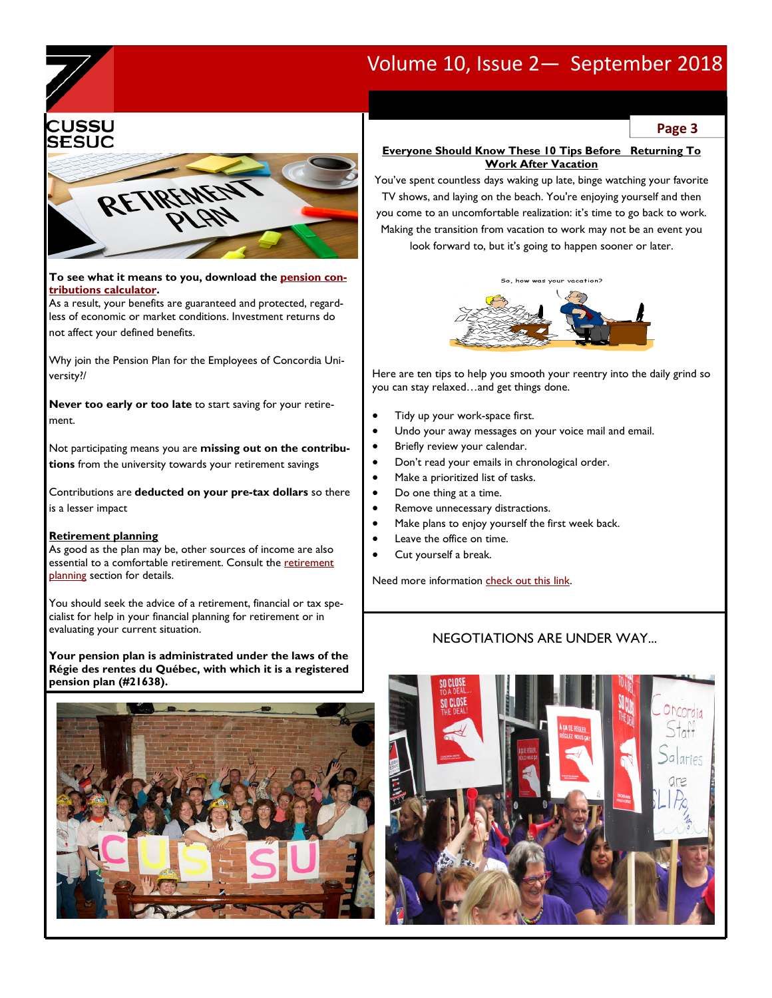## Volume 10, Issue 2— September 2018





**To see what it means to you, download the pension contributions calculator.** 

As a result, your benefits are guaranteed and protected, regardless of economic or market conditions. Investment returns do not affect your defined benefits.

Why join the Pension Plan for the Employees of Concordia University?/

**Never too early or too late** to start saving for your retirement.

Not participating means you are **missing out on the contributions** from the university towards your retirement savings

Contributions are **deducted on your pre-tax dollars** so there is a lesser impact

#### **Retirement planning**

As good as the plan may be, other sources of income are also essential to a comfortable retirement. Consult the retirement planning section for details.

You should seek the advice of a retirement, financial or tax specialist for help in your financial planning for retirement or in evaluating your current situation.

**Your pension plan is administrated under the laws of the Régie des rentes du Québec, with which it is a registered pension plan (#21638).** 



**Page 3** 

#### **Everyone Should Know These 10 Tips Before Returning To Work After Vacation**

You've spent countless days waking up late, binge watching your favorite TV shows, and laying on the beach. You're enjoying yourself and then you come to an uncomfortable realization: it's time to go back to work. Making the transition from vacation to work may not be an event you look forward to, but it's going to happen sooner or later.



Here are ten tips to help you smooth your reentry into the daily grind so you can stay relaxed…and get things done.

- Tidy up your work-space first.
- Undo your away messages on your voice mail and email.
- Briefly review your calendar.
- Don't read your emails in chronological order.
- Make a prioritized list of tasks.
- Do one thing at a time.
- Remove unnecessary distractions.
- Make plans to enjoy yourself the first week back.
- Leave the office on time.
- Cut yourself a break.

Need more information check out this link.

### NEGOTIATIONS ARE UNDER WAY...